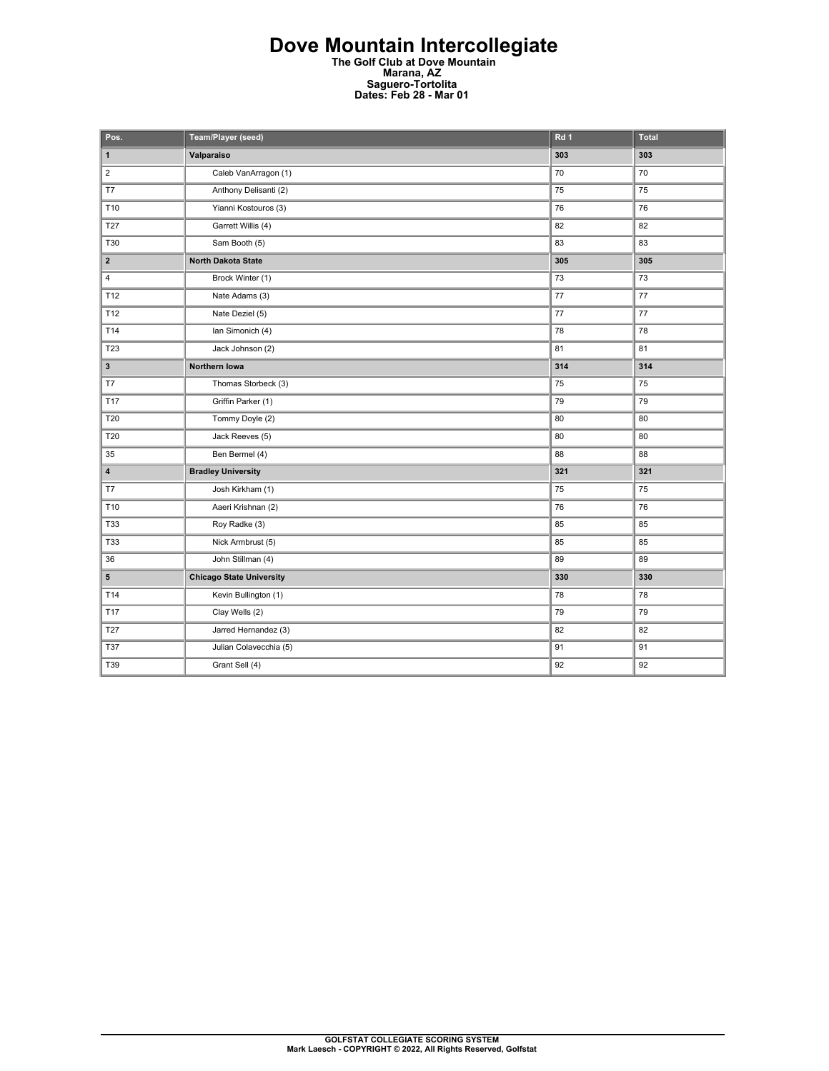## **Dove Mountain Intercollegiate The Golf Club at Dove Mountain Marana, AZ Saguero-Tortolita Dates: Feb 28 - Mar 01**

| Pos.                    | Team/Player (seed)              | Rd <sub>1</sub> | <b>Total</b> |
|-------------------------|---------------------------------|-----------------|--------------|
| $\mathbf{1}$            | Valparaiso                      | 303             | 303          |
| $\overline{2}$          | Caleb VanArragon (1)            | 70              | 70           |
| T7                      | Anthony Delisanti (2)           | 75              | 75           |
| T10                     | Yianni Kostouros (3)            | 76              | 76           |
| <b>T27</b>              | Garrett Willis (4)              | 82              | 82           |
| T30                     | Sam Booth (5)                   | 83              | 83           |
| $\overline{\mathbf{2}}$ | North Dakota State              | 305             | 305          |
| 4                       | Brock Winter (1)                | 73              | 73           |
| T12                     | Nate Adams (3)                  | $77 \,$         | $77 \,$      |
| T12                     | Nate Deziel (5)                 | 77              | 77           |
| T14                     | Ian Simonich (4)                | 78              | 78           |
| T <sub>23</sub>         | Jack Johnson (2)                | 81              | 81           |
| 3                       | Northern Iowa                   | 314             | 314          |
| T7                      | Thomas Storbeck (3)             | 75              | 75           |
| <b>T17</b>              | Griffin Parker (1)              | 79              | 79           |
| <b>T20</b>              | Tommy Doyle (2)                 | 80              | 80           |
| T20                     | Jack Reeves (5)                 | 80              | 80           |
| 35                      | Ben Bermel (4)                  | 88              | 88           |
| 4                       | <b>Bradley University</b>       | 321             | 321          |
| T7                      | Josh Kirkham (1)                | 75              | 75           |
| T10                     | Aaeri Krishnan (2)              | 76              | 76           |
| <b>T33</b>              | Roy Radke (3)                   | 85              | 85           |
| <b>T33</b>              | Nick Armbrust (5)               | 85              | 85           |
| 36                      | John Stillman (4)               | 89              | 89           |
| 5                       | <b>Chicago State University</b> | 330             | 330          |
| T14                     | Kevin Bullington (1)            | 78              | 78           |
| T17                     | Clay Wells (2)                  | 79              | 79           |
| <b>T27</b>              | Jarred Hernandez (3)            | 82              | 82           |
| <b>T37</b>              | Julian Colavecchia (5)          | 91              | 91           |
| T39                     | Grant Sell (4)                  | 92              | 92           |